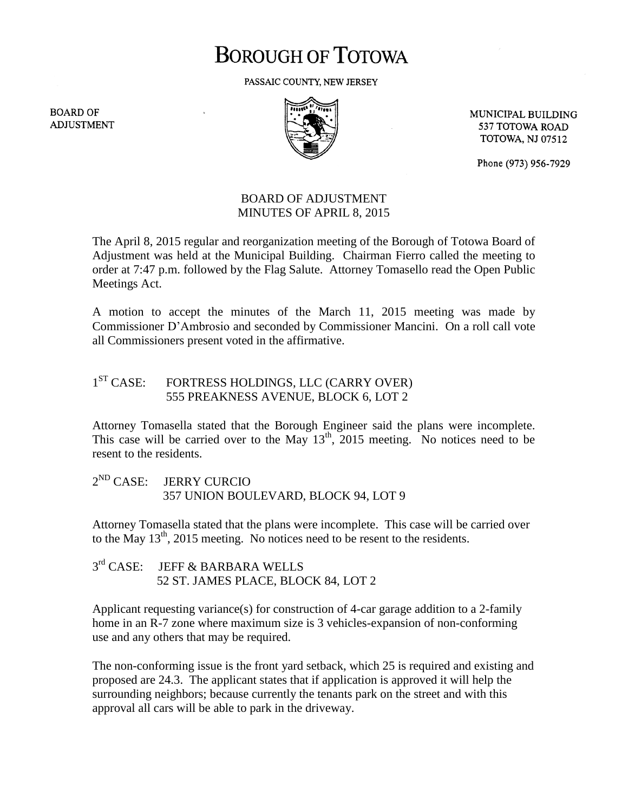# **BOROUGH OF TOTOWA**

PASSAIC COUNTY, NEW JERSEY

**BOARD OF ADJUSTMENT** 



MUNICIPAL BUILDING 537 TOTOWA ROAD **TOTOWA, NJ 07512** 

Phone (973) 956-7929

## BOARD OF ADJUSTMENT MINUTES OF APRIL 8, 2015

The April 8, 2015 regular and reorganization meeting of the Borough of Totowa Board of Adjustment was held at the Municipal Building. Chairman Fierro called the meeting to order at 7:47 p.m. followed by the Flag Salute. Attorney Tomasello read the Open Public Meetings Act.

A motion to accept the minutes of the March 11, 2015 meeting was made by Commissioner D'Ambrosio and seconded by Commissioner Mancini. On a roll call vote all Commissioners present voted in the affirmative.

#### $1<sup>ST</sup> CASE:$ FORTRESS HOLDINGS, LLC (CARRY OVER) 555 PREAKNESS AVENUE, BLOCK 6, LOT 2

Attorney Tomasella stated that the Borough Engineer said the plans were incomplete. This case will be carried over to the May  $13<sup>th</sup>$ , 2015 meeting. No notices need to be resent to the residents.

 $2^{ND}$  CASE: **JERRY CURCIO** 357 UNION BOULEVARD, BLOCK 94, LOT 9

Attorney Tomasella stated that the plans were incomplete. This case will be carried over to the May  $13<sup>th</sup>$ , 2015 meeting. No notices need to be resent to the residents.

 $3<sup>rd</sup> CASE:$ JEFF & BARBARA WELLS 52 ST. JAMES PLACE, BLOCK 84, LOT 2

Applicant requesting variance(s) for construction of 4-car garage addition to a 2-family home in an R-7 zone where maximum size is 3 vehicles-expansion of non-conforming use and any others that may be required.

The non-conforming issue is the front yard setback, which 25 is required and existing and proposed are 24.3. The applicant states that if application is approved it will help the surrounding neighbors; because currently the tenants park on the street and with this approval all cars will be able to park in the driveway.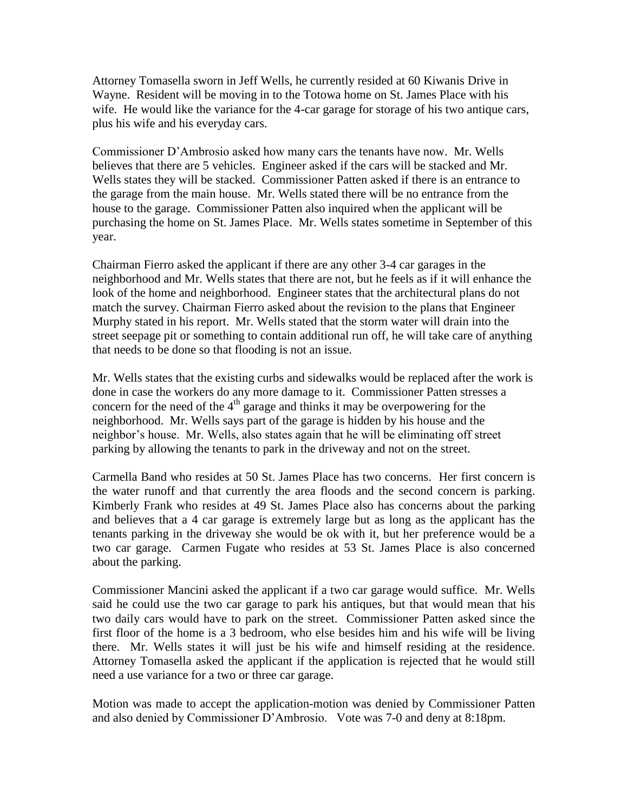Attorney Tomasella sworn in Jeff Wells, he currently resided at 60 Kiwanis Drive in Wayne. Resident will be moving in to the Totowa home on St. James Place with his wife. He would like the variance for the 4-car garage for storage of his two antique cars, plus his wife and his everyday cars.

Commissioner D'Ambrosio asked how many cars the tenants have now. Mr. Wells believes that there are 5 vehicles. Engineer asked if the cars will be stacked and Mr. Wells states they will be stacked. Commissioner Patten asked if there is an entrance to the garage from the main house. Mr. Wells stated there will be no entrance from the house to the garage. Commissioner Patten also inquired when the applicant will be purchasing the home on St. James Place. Mr. Wells states sometime in September of this year.

Chairman Fierro asked the applicant if there are any other 3-4 car garages in the neighborhood and Mr. Wells states that there are not, but he feels as if it will enhance the look of the home and neighborhood. Engineer states that the architectural plans do not match the survey. Chairman Fierro asked about the revision to the plans that Engineer Murphy stated in his report. Mr. Wells stated that the storm water will drain into the street seepage pit or something to contain additional run off, he will take care of anything that needs to be done so that flooding is not an issue.

Mr. Wells states that the existing curbs and sidewalks would be replaced after the work is done in case the workers do any more damage to it. Commissioner Patten stresses a concern for the need of the  $4<sup>th</sup>$  garage and thinks it may be overpowering for the neighborhood. Mr. Wells says part of the garage is hidden by his house and the neighbor's house. Mr. Wells, also states again that he will be eliminating off street parking by allowing the tenants to park in the driveway and not on the street.

Carmella Band who resides at 50 St. James Place has two concerns. Her first concern is the water runoff and that currently the area floods and the second concern is parking. Kimberly Frank who resides at 49 St. James Place also has concerns about the parking and believes that a 4 car garage is extremely large but as long as the applicant has the tenants parking in the driveway she would be ok with it, but her preference would be a two car garage. Carmen Fugate who resides at 53 St. James Place is also concerned about the parking.

Commissioner Mancini asked the applicant if a two car garage would suffice. Mr. Wells said he could use the two car garage to park his antiques, but that would mean that his two daily cars would have to park on the street. Commissioner Patten asked since the first floor of the home is a 3 bedroom, who else besides him and his wife will be living there. Mr. Wells states it will just be his wife and himself residing at the residence. Attorney Tomasella asked the applicant if the application is rejected that he would still need a use variance for a two or three car garage.

Motion was made to accept the application-motion was denied by Commissioner Patten and also denied by Commissioner D'Ambrosio. Vote was 7-0 and deny at 8:18pm.